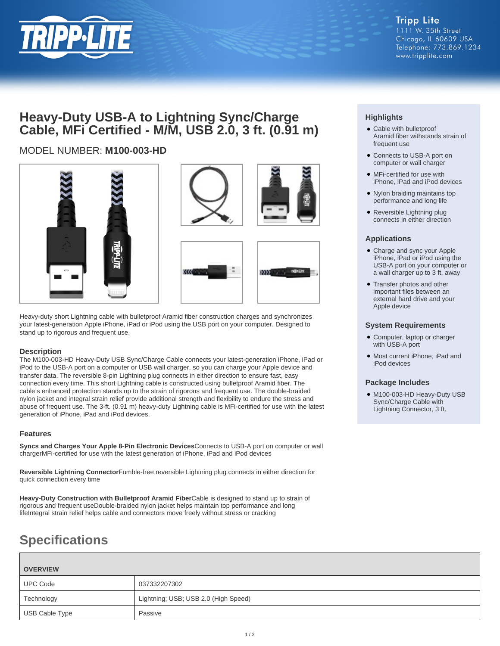

## **Heavy-Duty USB-A to Lightning Sync/Charge Cable, MFi Certified - M/M, USB 2.0, 3 ft. (0.91 m)**

## MODEL NUMBER: **M100-003-HD**





Heavy-duty short Lightning cable with bulletproof Aramid fiber construction charges and synchronizes your latest-generation Apple iPhone, iPad or iPod using the USB port on your computer. Designed to stand up to rigorous and frequent use.

### **Description**

The M100-003-HD Heavy-Duty USB Sync/Charge Cable connects your latest-generation iPhone, iPad or iPod to the USB-A port on a computer or USB wall charger, so you can charge your Apple device and transfer data. The reversible 8-pin Lightning plug connects in either direction to ensure fast, easy connection every time. This short Lightning cable is constructed using bulletproof Aramid fiber. The cable's enhanced protection stands up to the strain of rigorous and frequent use. The double-braided nylon jacket and integral strain relief provide additional strength and flexibility to endure the stress and abuse of frequent use. The 3-ft. (0.91 m) heavy-duty Lightning cable is MFi-certified for use with the latest generation of iPhone, iPad and iPod devices.

### **Features**

**Syncs and Charges Your Apple 8-Pin Electronic Devices**Connects to USB-A port on computer or wall chargerMFi-certified for use with the latest generation of iPhone, iPad and iPod devices

**Reversible Lightning Connector**Fumble-free reversible Lightning plug connects in either direction for quick connection every time

**Heavy-Duty Construction with Bulletproof Aramid Fiber**Cable is designed to stand up to strain of rigorous and frequent useDouble-braided nylon jacket helps maintain top performance and long lifeIntegral strain relief helps cable and connectors move freely without stress or cracking

# **Specifications**

| <b>OVERVIEW</b> |                                      |  |
|-----------------|--------------------------------------|--|
| <b>UPC Code</b> | 037332207302                         |  |
| Technology      | Lightning; USB; USB 2.0 (High Speed) |  |
| USB Cable Type  | Passive                              |  |

### **Highlights**

- Cable with bulletproof Aramid fiber withstands strain of frequent use
- Connects to USB-A port on computer or wall charger
- MFi-certified for use with iPhone, iPad and iPod devices
- Nylon braiding maintains top performance and long life
- Reversible Lightning plug connects in either direction

### **Applications**

- Charge and sync your Apple iPhone, iPad or iPod using the USB-A port on your computer or a wall charger up to 3 ft. away
- Transfer photos and other important files between an external hard drive and your Apple device

### **System Requirements**

- Computer, laptop or charger with USB-A port
- Most current iPhone, iPad and iPod devices

### **Package Includes**

● M100-003-HD Heavy-Duty USB Sync/Charge Cable with Lightning Connector, 3 ft.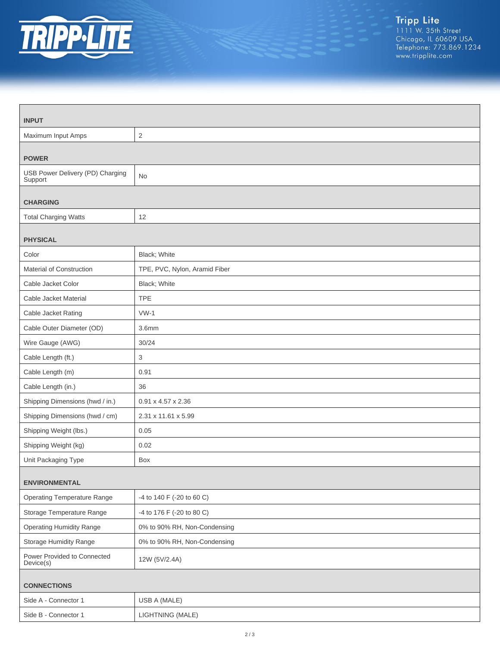

| <b>INPUT</b>                                |                               |  |
|---------------------------------------------|-------------------------------|--|
| Maximum Input Amps                          | $\overline{2}$                |  |
| <b>POWER</b>                                |                               |  |
| USB Power Delivery (PD) Charging<br>Support | <b>No</b>                     |  |
| <b>CHARGING</b>                             |                               |  |
| <b>Total Charging Watts</b>                 | 12                            |  |
| <b>PHYSICAL</b>                             |                               |  |
| Color                                       | Black; White                  |  |
| Material of Construction                    | TPE, PVC, Nylon, Aramid Fiber |  |
| Cable Jacket Color                          | Black; White                  |  |
| Cable Jacket Material                       | <b>TPE</b>                    |  |
| Cable Jacket Rating                         | $VW-1$                        |  |
| Cable Outer Diameter (OD)                   | 3.6 <sub>mm</sub>             |  |
| Wire Gauge (AWG)                            | 30/24                         |  |
| Cable Length (ft.)                          | 3                             |  |
| Cable Length (m)                            | 0.91                          |  |
| Cable Length (in.)                          | 36                            |  |
| Shipping Dimensions (hwd / in.)             | 0.91 x 4.57 x 2.36            |  |
| Shipping Dimensions (hwd / cm)              | 2.31 x 11.61 x 5.99           |  |
| Shipping Weight (lbs.)                      | 0.05                          |  |
| Shipping Weight (kg)                        | 0.02                          |  |
| Unit Packaging Type                         | Box                           |  |
| <b>ENVIRONMENTAL</b>                        |                               |  |
| <b>Operating Temperature Range</b>          | -4 to 140 F (-20 to 60 C)     |  |
| Storage Temperature Range                   | -4 to 176 F (-20 to 80 C)     |  |
| <b>Operating Humidity Range</b>             | 0% to 90% RH, Non-Condensing  |  |
| <b>Storage Humidity Range</b>               | 0% to 90% RH, Non-Condensing  |  |
| Power Provided to Connected<br>Device(s)    | 12W (5V/2.4A)                 |  |
| <b>CONNECTIONS</b>                          |                               |  |
| Side A - Connector 1                        | USB A (MALE)                  |  |
| Side B - Connector 1                        | LIGHTNING (MALE)              |  |